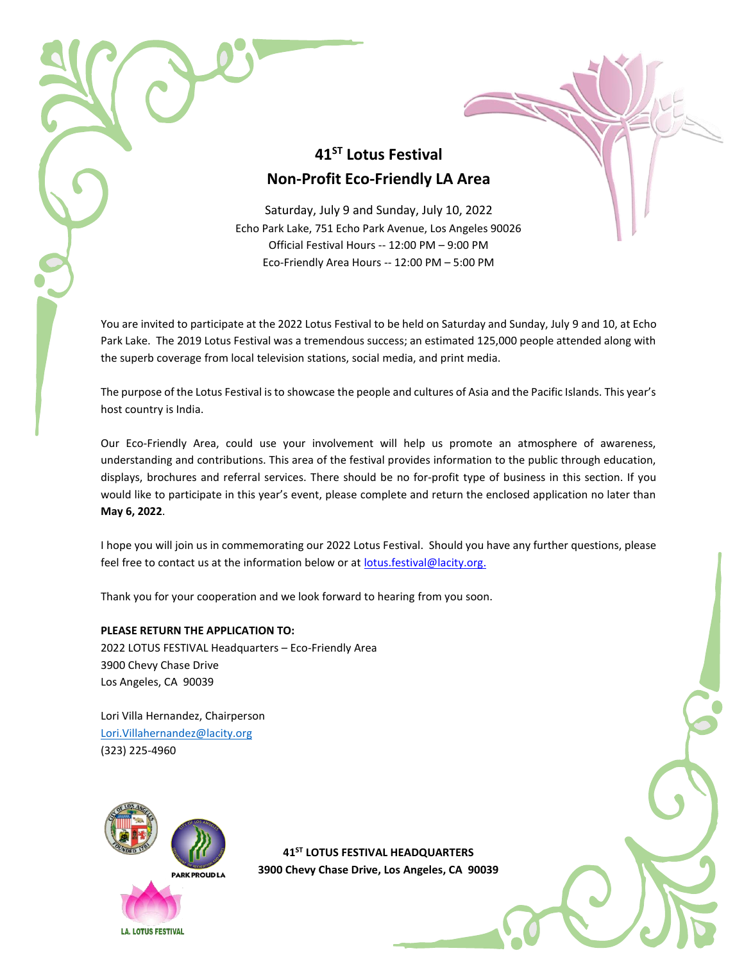## **41ST Lotus Festival Non-Profit Eco-Friendly LA Area**

Saturday, July 9 and Sunday, July 10, 2022 Echo Park Lake, 751 Echo Park Avenue, Los Angeles 90026 Official Festival Hours -- 12:00 PM – 9:00 PM Eco-Friendly Area Hours -- 12:00 PM – 5:00 PM

You are invited to participate at the 2022 Lotus Festival to be held on Saturday and Sunday, July 9 and 10, at Echo Park Lake. The 2019 Lotus Festival was a tremendous success; an estimated 125,000 people attended along with the superb coverage from local television stations, social media, and print media.

The purpose of the Lotus Festival is to showcase the people and cultures of Asia and the Pacific Islands. This year's host country is India.

Our Eco-Friendly Area, could use your involvement will help us promote an atmosphere of awareness, understanding and contributions. This area of the festival provides information to the public through education, displays, brochures and referral services. There should be no for-profit type of business in this section. If you would like to participate in this year's event, please complete and return the enclosed application no later than **May 6, 2022**.

I hope you will join us in commemorating our 2022 Lotus Festival. Should you have any further questions, please feel free to contact us at the information below or at [lotus.festival@lacity.org.](mailto:lotus.festival@lacity.org)

Thank you for your cooperation and we look forward to hearing from you soon.

#### **PLEASE RETURN THE APPLICATION TO:**

2022 LOTUS FESTIVAL Headquarters – Eco-Friendly Area 3900 Chevy Chase Drive Los Angeles, CA 90039

Lori Villa Hernandez, Chairperson [Lori.Villahernandez@lacity.org](mailto:Lori.Villahernandez@lacity.org) (323) 225-4960



**41ST LOTUS FESTIVAL HEADQUARTERS 3900 Chevy Chase Drive, Los Angeles, CA 90039**